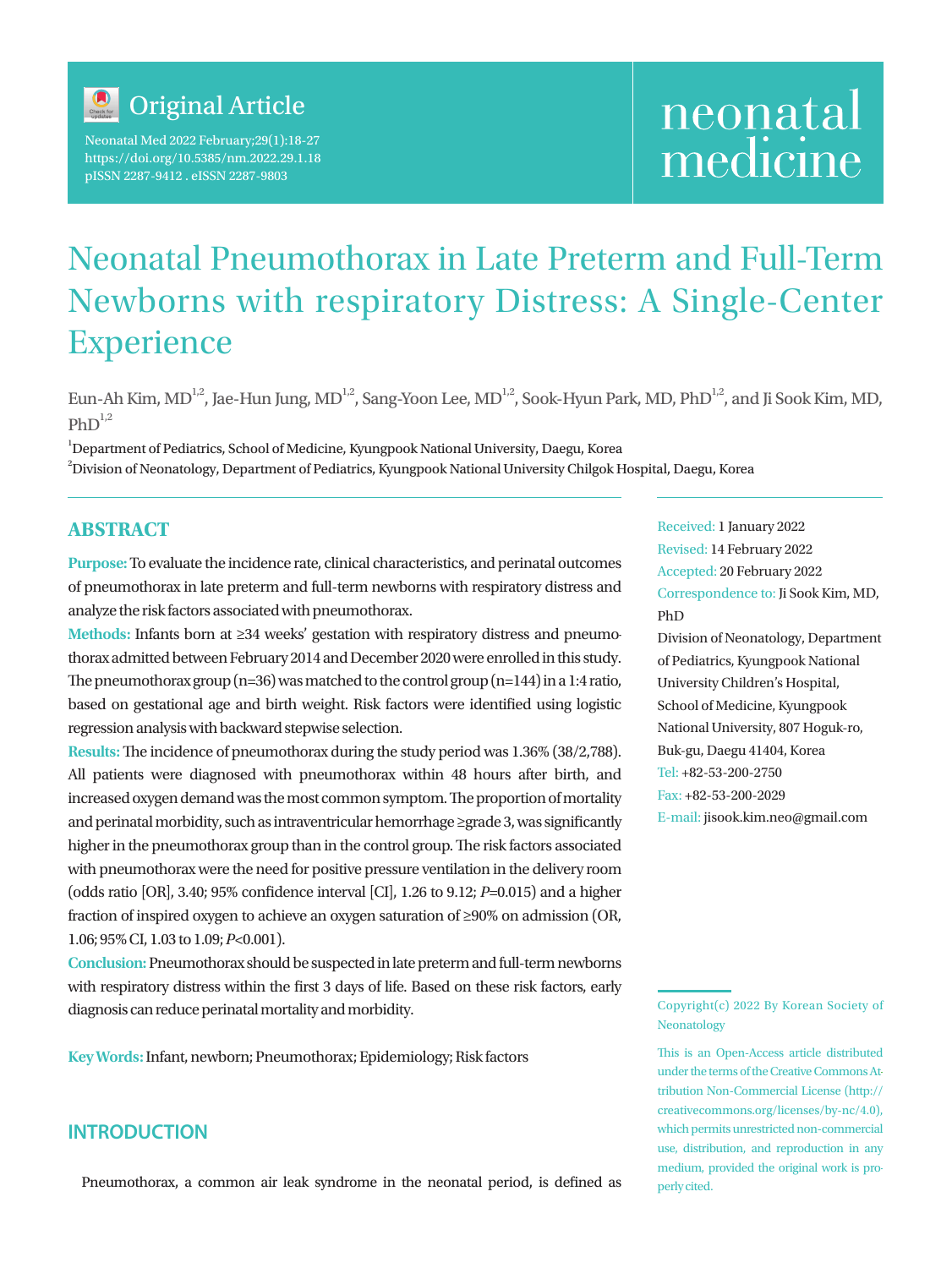

Neonatal Med 2022 February;29(1):18-27 https://doi.org/10.5385/nm.2022.29.1.18 pISSN 2287-9412 . eISSN 2287-9803

# neonatal medicine

## Neonatal Pneumothorax in Late Preterm and Full-Term Newborns with respiratory Distress: A Single-Center Experience

Eun-Ah Kim, MD<sup>1,2</sup>, Jae-Hun Jung, MD<sup>1,2</sup>, Sang-Yoon Lee, MD<sup>1,2</sup>, Sook-Hyun Park, MD, PhD<sup>1,2</sup>, and Ji Sook Kim, MD,  $PhD^{1,2}$ 

1 Department of Pediatrics, School of Medicine, Kyungpook National University, Daegu, Korea  $^2$ Division of Neonatology, Department of Pediatrics, Kyungpook National University Chilgok Hospital, Daegu, Korea

## **ABSTRACT**

**Purpose:** To evaluate the incidence rate, clinical characteristics, and perinatal outcomes of pneumothorax in late preterm and full-term newborns with respiratory distress and analyze the risk factors associated with pneumothorax.

**Methods:** Infants born at ≥34 weeks' gestation with respiratory distress and pneumothorax admitted between February 2014 and December 2020 were enrolled in this study. The pneumothorax group (n=36) was matched to the control group (n=144) in a 1:4 ratio, based on gestational age and birth weight. Risk factors were identified using logistic regression analysis with backward stepwise selection.

**Results:** The incidence of pneumothorax during the study period was 1.36% (38/2,788). All patients were diagnosed with pneumothorax within 48 hours after birth, and increased oxygen demand was the most common symptom. The proportion of mortality and perinatal morbidity, such as intraventricular hemorrhage ≥grade 3, was significantly higher in the pneumothorax group than in the control group. The risk factors associated with pneumothorax were the need for positive pressure ventilation in the delivery room (odds ratio [OR], 3.40; 95% confidence interval [CI], 1.26 to 9.12; *P*=0.015) and a higher fraction of inspired oxygen to achieve an oxygen saturation of ≥90% on admission (OR, 1.06; 95% CI, 1.03 to 1.09; *P*<0.001).

**Conclusion:** Pneumothorax should be suspected in late preterm and full-term newborns with respiratory distress within the first 3 days of life. Based on these risk factors, early diagnosis can reduce perinatal mortality and morbidity.

**Key Words:** Infant, newborn; Pneumothorax; Epidemiology; Risk factors

## **INTRODUCTION**

Pneumothorax, a common air leak syndrome in the neonatal period, is defined as

Received: 1 January 2022 Revised: 14 February 2022 Accepted: 20 February 2022 Correspondence to: Ji Sook Kim, MD, PhD

Division of Neonatology, Department of Pediatrics, Kyungpook National University Children's Hospital, School of Medicine, Kyungpook National University, 807 Hoguk-ro, Buk-gu, Daegu 41404, Korea Tel: +82-53-200-2750 Fax: +82-53-200-2029 E-mail: jisook.kim.neo@gmail.com

This is an Open-Access article distributed under the terms of the Creative Commons Attribution Non-Commercial License (http:// creativecommons.org/licenses/by-nc/4.0), which permits unrestricted non-commercial use, distribution, and reproduction in any medium, provided the original work is properly cited.

Copyright(c) 2022 By Korean Society of Neonatology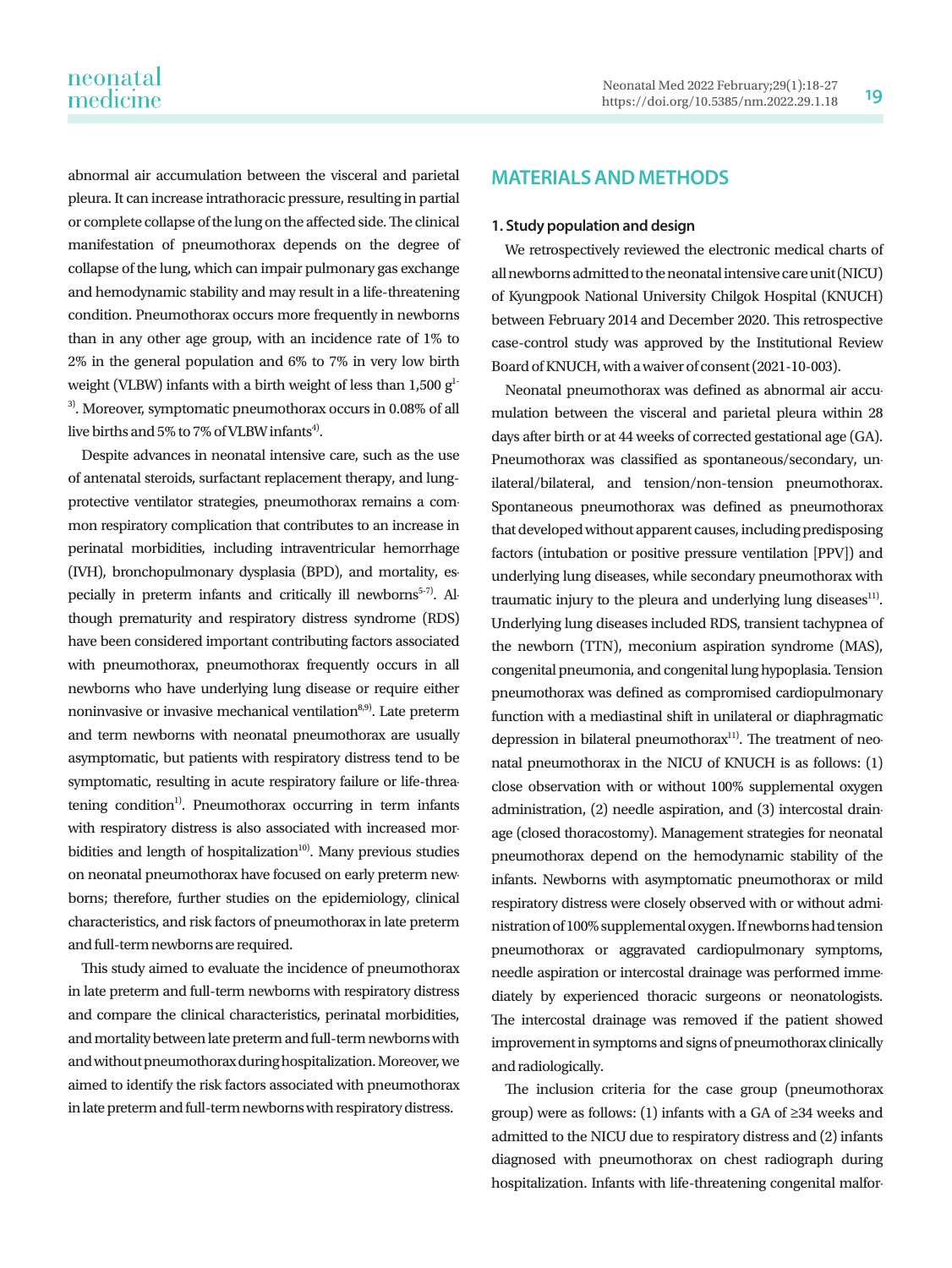abnormal air accumulation between the visceral and parietal pleura. It can increase intrathoracic pressure, resulting in partial or complete collapse of the lung on the affected side. The clinical manifestation of pneumothorax depends on the degree of collapse of the lung, which can impair pulmonary gas exchange and hemodynamic stability and may result in a life-threatening condition. Pneumothorax occurs more frequently in newborns than in any other age group, with an incidence rate of 1% to 2% in the general population and 6% to 7% in very low birth weight (VLBW) infants with a birth weight of less than  $1,500$  g<sup>1-</sup> 3). Moreover, symptomatic pneumothorax occurs in 0.08% of all

live births and 5% to 7% of VLBW infants<sup>4)</sup>.

Despite advances in neonatal intensive care, such as the use of antenatal steroids, surfactant replacement therapy, and lungprotective ventilator strategies, pneumothorax remains a common respiratory complication that contributes to an increase in perinatal morbidities, including intraventricular hemorrhage (IVH), bronchopulmonary dysplasia (BPD), and mortality, especially in preterm infants and critically ill newborns<sup>5-7)</sup>. Although prematurity and respiratory distress syndrome (RDS) have been considered important contributing factors associated with pneumothorax, pneumothorax frequently occurs in all newborns who have underlying lung disease or require either noninvasive or invasive mechanical ventilation $8,9)$ . Late preterm and term newborns with neonatal pneumothorax are usually asymptomatic, but patients with respiratory distress tend to be symptomatic, resulting in acute respiratory failure or life-threatening condition<sup>1)</sup>. Pneumothorax occurring in term infants with respiratory distress is also associated with increased morbidities and length of hospitalization $10$ <sup>10</sup>. Many previous studies on neonatal pneumothorax have focused on early preterm newborns; therefore, further studies on the epidemiology, clinical characteristics, and risk factors of pneumothorax in late preterm and full-term newborns are required.

This study aimed to evaluate the incidence of pneumothorax in late preterm and full-term newborns with respiratory distress and compare the clinical characteristics, perinatal morbidities, and mortality between late preterm and full-term newborns with and without pneumothorax during hospitalization. Moreover, we aimed to identify the risk factors associated with pneumothorax in late preterm and full-term newborns with respiratory distress.

## **MATERIALS AND METHODS**

#### **1. Study population and design**

We retrospectively reviewed the electronic medical charts of all newborns admitted to the neonatal intensive care unit (NICU) of Kyungpook National University Chilgok Hospital (KNUCH) between February 2014 and December 2020. This retrospective case-control study was approved by the Institutional Review Board of KNUCH, with a waiver of consent (2021-10-003).

Neonatal pneumothorax was defined as abnormal air accumulation between the visceral and parietal pleura within 28 days after birth or at 44 weeks of corrected gestational age (GA). Pneumothorax was classified as spontaneous/secondary, unilateral/bilateral, and tension/non-tension pneumothorax. Spontaneous pneumothorax was defined as pneumothorax that developed without apparent causes, including predisposing factors (intubation or positive pressure ventilation [PPV]) and underlying lung diseases, while secondary pneumothorax with traumatic injury to the pleura and underlying lung diseases $11$ . Underlying lung diseases included RDS, transient tachypnea of the newborn (TTN), meconium aspiration syndrome (MAS), congenital pneumonia, and congenital lung hypoplasia. Tension pneumothorax was defined as compromised cardiopulmonary function with a mediastinal shift in unilateral or diaphragmatic depression in bilateral pneumothora $x<sup>11</sup>$ . The treatment of neonatal pneumothorax in the NICU of KNUCH is as follows: (1) close observation with or without 100% supplemental oxygen administration, (2) needle aspiration, and (3) intercostal drainage (closed thoracostomy). Management strategies for neonatal pneumothorax depend on the hemodynamic stability of the infants. Newborns with asymptomatic pneumothorax or mild respiratory distress were closely observed with or without administration of 100% supplemental oxygen. If newborns had tension pneumothorax or aggravated cardiopulmonary symptoms, needle aspiration or intercostal drainage was performed immediately by experienced thoracic surgeons or neonatologists. The intercostal drainage was removed if the patient showed improvement in symptoms and signs of pneumothorax clinically and radiologically.

The inclusion criteria for the case group (pneumothorax group) were as follows: (1) infants with a GA of ≥34 weeks and admitted to the NICU due to respiratory distress and (2) infants diagnosed with pneumothorax on chest radiograph during hospitalization. Infants with life-threatening congenital malfor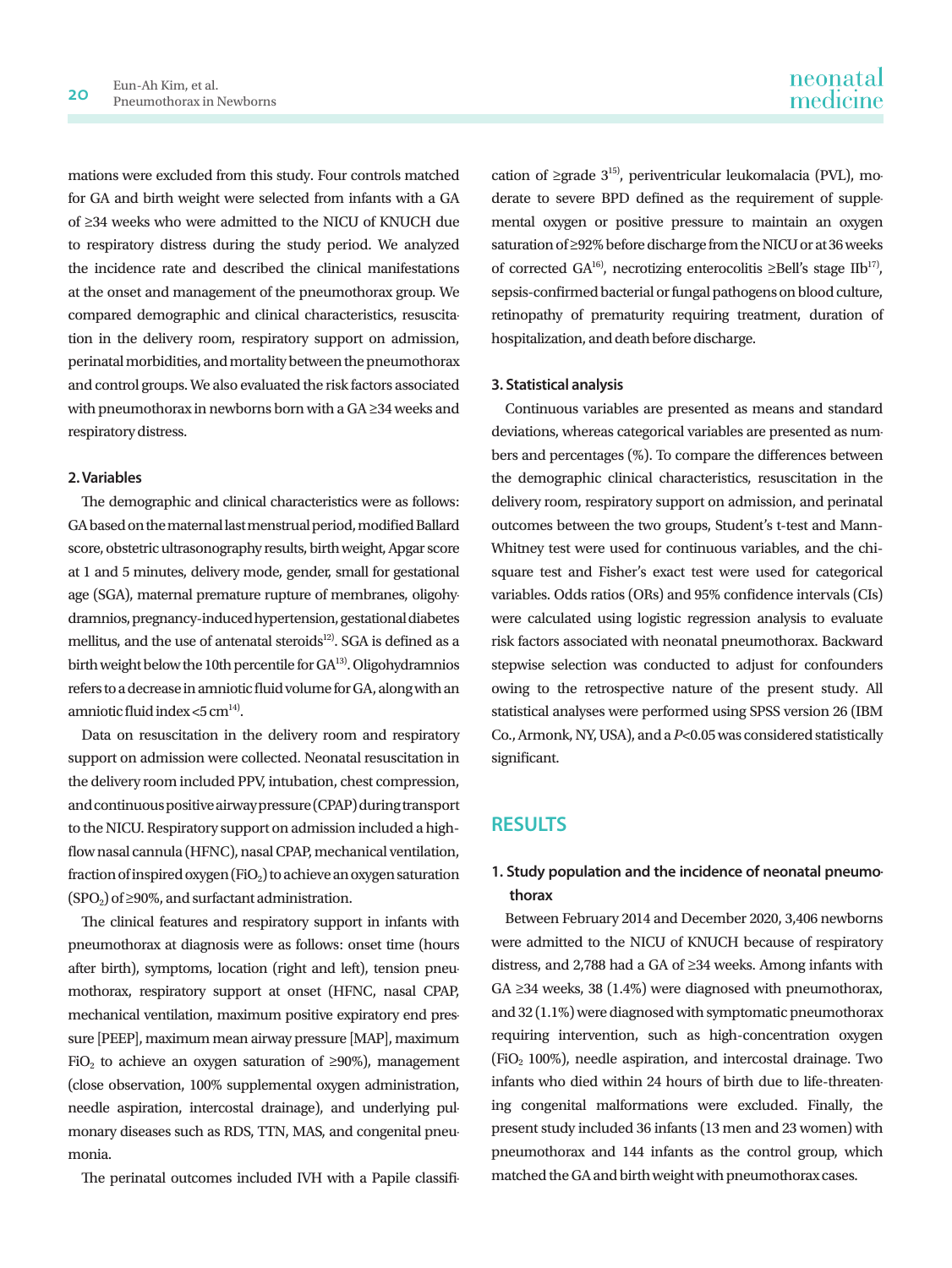mations were excluded from this study. Four controls matched for GA and birth weight were selected from infants with a GA of ≥34 weeks who were admitted to the NICU of KNUCH due to respiratory distress during the study period. We analyzed the incidence rate and described the clinical manifestations at the onset and management of the pneumothorax group. We compared demographic and clinical characteristics, resuscitation in the delivery room, respiratory support on admission, perinatal morbidities, and mortality between the pneumothorax and control groups. We also evaluated the risk factors associated with pneumothorax in newborns born with a GA ≥34 weeks and respiratory distress.

#### **2. Variables**

The demographic and clinical characteristics were as follows: GA based on the maternal last menstrual period, modified Ballard score, obstetric ultrasonography results, birth weight, Apgar score at 1 and 5 minutes, delivery mode, gender, small for gestational age (SGA), maternal premature rupture of membranes, oligohydramnios, pregnancy-induced hypertension, gestational diabetes mellitus, and the use of antenatal steroids<sup>12)</sup>. SGA is defined as a birth weight below the 10th percentile for GA<sup>13</sup>. Oligohydramnios refers to a decrease in amniotic fluid volume for GA, along with an amniotic fluid index <5  $cm<sup>14</sup>$ .

Data on resuscitation in the delivery room and respiratory support on admission were collected. Neonatal resuscitation in the delivery room included PPV, intubation, chest compression, and continuous positive airway pressure (CPAP) during transport to the NICU. Respiratory support on admission included a highflow nasal cannula (HFNC), nasal CPAP, mechanical ventilation, fraction of inspired oxygen (FiO<sub>2</sub>) to achieve an oxygen saturation  $(SPO<sub>2</sub>)$  of ≥90%, and surfactant administration.

The clinical features and respiratory support in infants with pneumothorax at diagnosis were as follows: onset time (hours after birth), symptoms, location (right and left), tension pneumothorax, respiratory support at onset (HFNC, nasal CPAP, mechanical ventilation, maximum positive expiratory end pressure [PEEP], maximum mean airway pressure [MAP], maximum FiO<sub>2</sub> to achieve an oxygen saturation of  $\geq 90\%$ ), management (close observation, 100% supplemental oxygen administration, needle aspiration, intercostal drainage), and underlying pulmonary diseases such as RDS, TTN, MAS, and congenital pneumonia.

The perinatal outcomes included IVH with a Papile classifi-

cation of ≥grade  $3^{15}$ , periventricular leukomalacia (PVL), moderate to severe BPD defined as the requirement of supplemental oxygen or positive pressure to maintain an oxygen saturation of ≥92% before discharge from the NICU or at 36 weeks of corrected GA<sup>16)</sup>, necrotizing enterocolitis ≥Bell's stage IIb<sup>17</sup>), sepsis-confirmed bacterial or fungal pathogens on blood culture, retinopathy of prematurity requiring treatment, duration of hospitalization, and death before discharge.

#### **3. Statistical analysis**

Continuous variables are presented as means and standard deviations, whereas categorical variables are presented as numbers and percentages (%). To compare the differences between the demographic clinical characteristics, resuscitation in the delivery room, respiratory support on admission, and perinatal outcomes between the two groups, Student's t-test and Mann-Whitney test were used for continuous variables, and the chisquare test and Fisher's exact test were used for categorical variables. Odds ratios (ORs) and 95% confidence intervals (CIs) were calculated using logistic regression analysis to evaluate risk factors associated with neonatal pneumothorax. Backward stepwise selection was conducted to adjust for confounders owing to the retrospective nature of the present study. All statistical analyses were performed using SPSS version 26 (IBM Co., Armonk, NY, USA), and a *P*<0.05 was considered statistically significant.

### **RESULTS**

## **1. Study population and the incidence of neonatal pneumothorax**

Between February 2014 and December 2020, 3,406 newborns were admitted to the NICU of KNUCH because of respiratory distress, and 2,788 had a GA of ≥34 weeks. Among infants with GA ≥34 weeks, 38 (1.4%) were diagnosed with pneumothorax, and 32 (1.1%) were diagnosed with symptomatic pneumothorax requiring intervention, such as high-concentration oxygen (FiO<sub>2</sub> 100%), needle aspiration, and intercostal drainage. Two infants who died within 24 hours of birth due to life-threatening congenital malformations were excluded. Finally, the present study included 36 infants (13 men and 23 women) with pneumothorax and 144 infants as the control group, which matched the GA and birth weight with pneumothorax cases.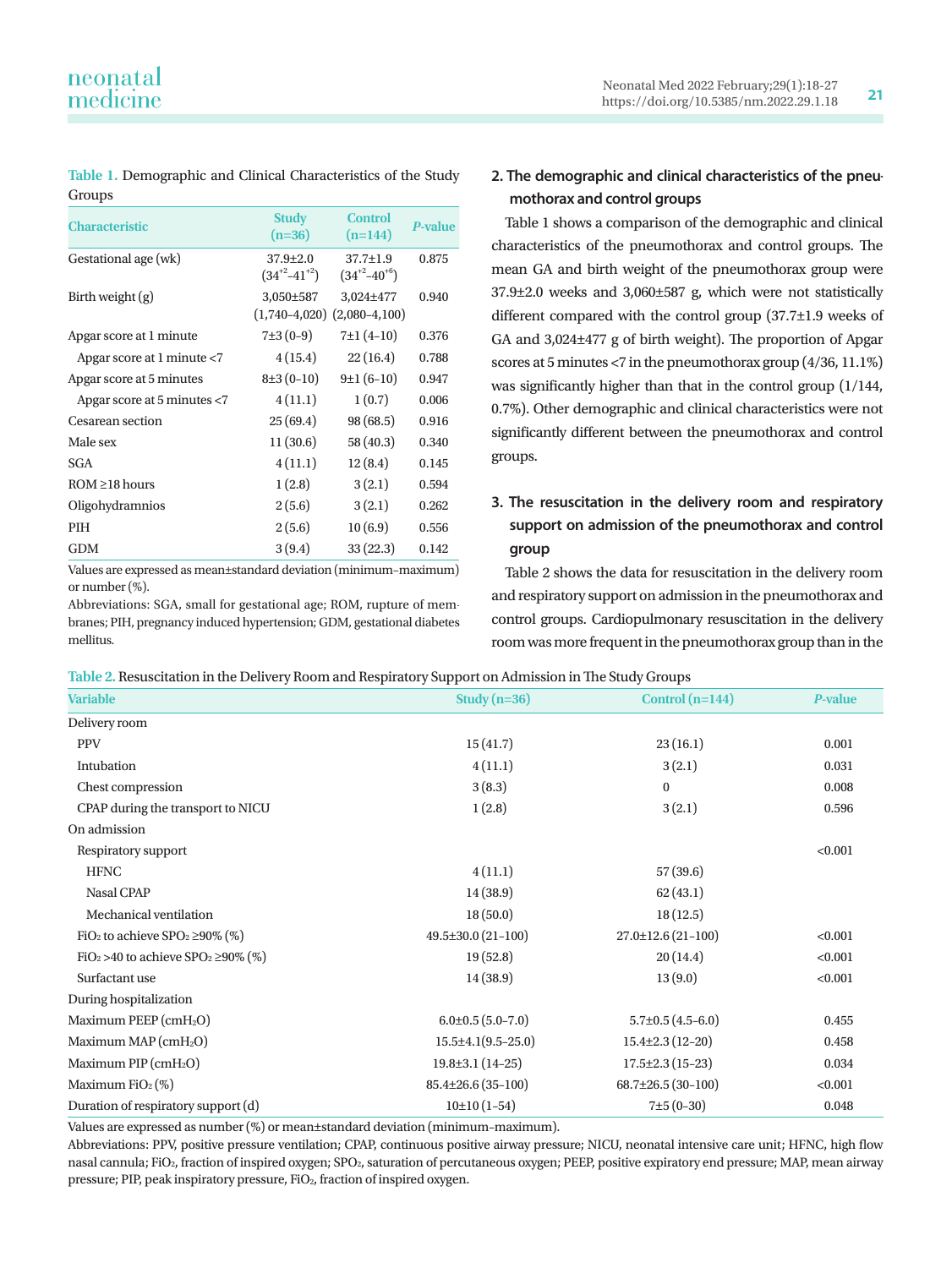**Table 1.** Demographic and Clinical Characteristics of the Study Groups

| <b>Characteristic</b>         | <b>Study</b><br>$(n=36)$                     | <b>Control</b><br>$(n=144)$             | <b>P-value</b> |
|-------------------------------|----------------------------------------------|-----------------------------------------|----------------|
| Gestational age (wk)          | $37.9 \pm 2.0$<br>$(34^{+2}-41^{+2})$        | $37.7 \pm 1.9$<br>$(34^{+2} - 40^{+6})$ | 0.875          |
| Birth weight $(g)$            | 3,050±587<br>$(1,740-4,020)$ $(2,080-4,100)$ | 3,024±477                               | 0.940          |
| Apgar score at 1 minute       | $7\pm3(0-9)$                                 | $7±1(4-10)$                             | 0.376          |
| Apgar score at 1 minute $<$ 7 | 4(15.4)                                      | 22(16.4)                                | 0.788          |
| Apgar score at 5 minutes      | $8±3(0-10)$                                  | $9±1(6-10)$                             | 0.947          |
| Apgar score at 5 minutes <7   | 4(11.1)                                      | 1(0.7)                                  | 0.006          |
| Cesarean section              | 25(69.4)                                     | 98(68.5)                                | 0.916          |
| Male sex                      | 11(30.6)                                     | 58 (40.3)                               | 0.340          |
| <b>SGA</b>                    | 4(11.1)                                      | 12(8.4)                                 | 0.145          |
| $ROM \ge 18$ hours            | 1(2.8)                                       | 3(2.1)                                  | 0.594          |
| Oligohydramnios               | 2(5.6)                                       | 3(2.1)                                  | 0.262          |
| <b>PIH</b>                    | 2(5.6)                                       | 10(6.9)                                 | 0.556          |
| <b>GDM</b>                    | 3(9.4)                                       | 33(22.3)                                | 0.142          |

Values are expressed as mean±standard deviation (minimum–maximum) or number (%).

Abbreviations: SGA, small for gestational age; ROM, rupture of membranes; PIH, pregnancy induced hypertension; GDM, gestational diabetes mellitus.

## **2. The demographic and clinical characteristics of the pneumothorax and control groups**

Table 1 shows a comparison of the demographic and clinical characteristics of the pneumothorax and control groups. The mean GA and birth weight of the pneumothorax group were 37.9±2.0 weeks and 3,060±587 g, which were not statistically different compared with the control group (37.7±1.9 weeks of GA and 3,024±477 g of birth weight). The proportion of Apgar scores at 5 minutes <7 in the pneumothorax group (4/36, 11.1%) was significantly higher than that in the control group (1/144, 0.7%). Other demographic and clinical characteristics were not significantly different between the pneumothorax and control groups.

## **3. The resuscitation in the delivery room and respiratory support on admission of the pneumothorax and control group**

Table 2 shows the data for resuscitation in the delivery room and respiratory support on admission in the pneumothorax and control groups. Cardiopulmonary resuscitation in the delivery room was more frequent in the pneumothorax group than in the

**Table 2.** Resuscitation in the Delivery Room and Respiratory Support on Admission in The Study Groups

| <u>18910 = Rougonanon in the Denver, Room and Rospharor, oupport on namiosion in the oral , Groups</u> |                             |                           |                |  |
|--------------------------------------------------------------------------------------------------------|-----------------------------|---------------------------|----------------|--|
| <b>Variable</b>                                                                                        | Study $(n=36)$              | Control $(n=144)$         | <b>P-value</b> |  |
| Delivery room                                                                                          |                             |                           |                |  |
| <b>PPV</b>                                                                                             | 15(41.7)                    | 23(16.1)                  | 0.001          |  |
| Intubation                                                                                             | 4(11.1)                     | 3(2.1)                    | 0.031          |  |
| Chest compression                                                                                      | 3(8.3)                      | $\bf{0}$                  | 0.008          |  |
| CPAP during the transport to NICU                                                                      | 1(2.8)                      | 3(2.1)                    | 0.596          |  |
| On admission                                                                                           |                             |                           |                |  |
| Respiratory support                                                                                    |                             |                           | < 0.001        |  |
| <b>HFNC</b>                                                                                            | 4(11.1)                     | 57(39.6)                  |                |  |
| <b>Nasal CPAP</b>                                                                                      | 14(38.9)                    | 62(43.1)                  |                |  |
| Mechanical ventilation                                                                                 | 18(50.0)                    | 18(12.5)                  |                |  |
| FiO <sub>2</sub> to achieve SPO <sub>2</sub> $\geq$ 90% (%)                                            | $49.5 \pm 30.0$ (21-100)    | $27.0 \pm 12.6(21 - 100)$ | < 0.001        |  |
| FiO <sub>2</sub> > 40 to achieve SPO <sub>2</sub> $\geq$ 90% (%)                                       | 19(52.8)                    | 20(14.4)                  | < 0.001        |  |
| Surfactant use                                                                                         | 14(38.9)                    | 13(9.0)                   | < 0.001        |  |
| During hospitalization                                                                                 |                             |                           |                |  |
| Maximum PEEP (cmH <sub>2</sub> O)                                                                      | $6.0\pm0.5(5.0-7.0)$        | $5.7\pm0.5(4.5-6.0)$      | 0.455          |  |
| Maximum MAP (cmH <sub>2</sub> O)                                                                       | $15.5 \pm 4.1 (9.5 - 25.0)$ | $15.4 \pm 2.3(12 - 20)$   | 0.458          |  |
| Maximum PIP (cmH <sub>2</sub> O)                                                                       | $19.8 \pm 3.1(14 - 25)$     | $17.5 \pm 2.3(15 - 23)$   | 0.034          |  |
| Maximum FiO <sub>2</sub> $(\%)$                                                                        | $85.4\pm26.6$ (35-100)      | $68.7\pm26.5(30-100)$     | < 0.001        |  |
| Duration of respiratory support (d)                                                                    | $10±10(1-54)$               | $7±5(0-30)$               | 0.048          |  |
|                                                                                                        |                             |                           |                |  |

Values are expressed as number (%) or mean±standard deviation (minimum–maximum).

Abbreviations: PPV, positive pressure ventilation; CPAP, continuous positive airway pressure; NICU, neonatal intensive care unit; HFNC, high flow nasal cannula; FiO<sub>2</sub>, fraction of inspired oxygen; SPO<sub>2</sub>, saturation of percutaneous oxygen; PEEP, positive expiratory end pressure; MAP, mean airway pressure; PIP, peak inspiratory pressure, FiO<sub>2</sub>, fraction of inspired oxygen.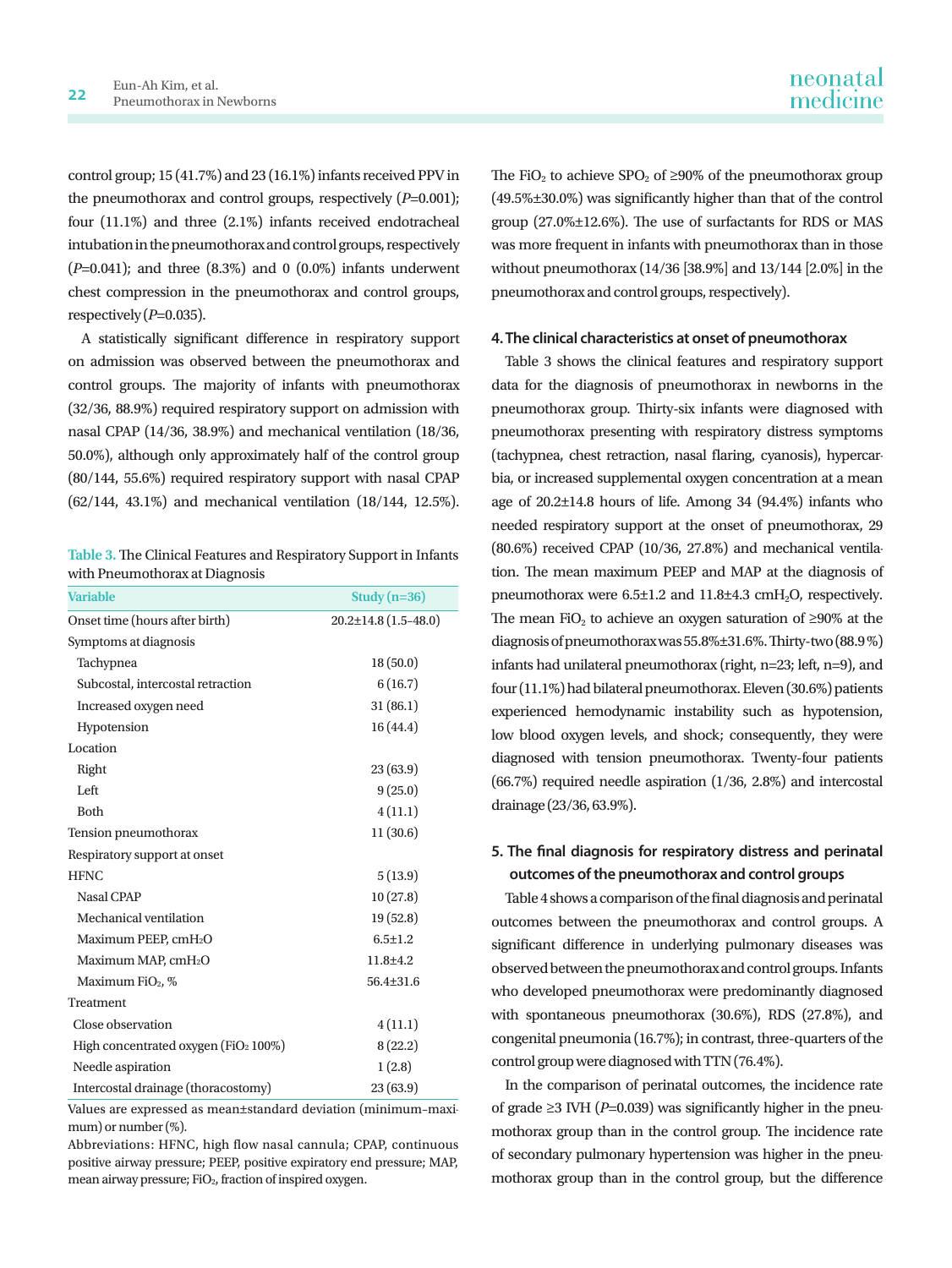control group; 15 (41.7%) and 23 (16.1%) infants received PPV in the pneumothorax and control groups, respectively (*P*=0.001); four (11.1%) and three (2.1%) infants received endotracheal intubation in the pneumothorax and control groups, respectively (*P*=0.041); and three (8.3%) and 0 (0.0%) infants underwent chest compression in the pneumothorax and control groups, respectively  $(P=0.035)$ .

A statistically significant difference in respiratory support on admission was observed between the pneumothorax and control groups. The majority of infants with pneumothorax (32/36, 88.9%) required respiratory support on admission with nasal CPAP (14/36, 38.9%) and mechanical ventilation (18/36, 50.0%), although only approximately half of the control group (80/144, 55.6%) required respiratory support with nasal CPAP (62/144, 43.1%) and mechanical ventilation (18/144, 12.5%).

| Table 3. The Clinical Features and Respiratory Support in Infants |
|-------------------------------------------------------------------|
| with Pneumothorax at Diagnosis                                    |

| <b>Variable</b>                          | Study $(n=36)$             |
|------------------------------------------|----------------------------|
| Onset time (hours after birth)           | $20.2 \pm 14.8$ (1.5-48.0) |
| Symptoms at diagnosis                    |                            |
| Tachypnea                                | 18(50.0)                   |
| Subcostal, intercostal retraction        | 6(16.7)                    |
| Increased oxygen need                    | 31(86.1)                   |
| Hypotension                              | 16(44.4)                   |
| Location                                 |                            |
| Right                                    | 23(63.9)                   |
| Left                                     | 9(25.0)                    |
| <b>Both</b>                              | 4(11.1)                    |
| Tension pneumothorax                     | 11(30.6)                   |
| Respiratory support at onset             |                            |
| <b>HFNC</b>                              | 5(13.9)                    |
| <b>Nasal CPAP</b>                        | 10(27.8)                   |
| Mechanical ventilation                   | 19(52.8)                   |
| Maximum PEEP, cmH2O                      | $6.5 \pm 1.2$              |
| Maximum MAP, cmH <sub>2</sub> O          | $11.8 + 4.2$               |
| Maximum FiO <sub>2</sub> , %             | $56.4 \pm 31.6$            |
| Treatment                                |                            |
| Close observation                        | 4(11.1)                    |
| High concentrated oxygen ( $FiO2100\%$ ) | 8(22.2)                    |
| Needle aspiration                        | 1(2.8)                     |
| Intercostal drainage (thoracostomy)      | 23 (63.9)                  |

Values are expressed as mean±standard deviation (minimum–maximum) or number (%).

Abbreviations: HFNC, high flow nasal cannula; CPAP, continuous positive airway pressure; PEEP, positive expiratory end pressure; MAP, mean airway pressure; FiO2, fraction of inspired oxygen.

The FiO<sub>2</sub> to achieve SPO<sub>2</sub> of  $\geq$ 90% of the pneumothorax group

(49.5%±30.0%) was significantly higher than that of the control group (27.0%±12.6%). The use of surfactants for RDS or MAS was more frequent in infants with pneumothorax than in those without pneumothorax (14/36 [38.9%] and 13/144 [2.0%] in the pneumothorax and control groups, respectively).

#### **4. The clinical characteristics at onset of pneumothorax**

Table 3 shows the clinical features and respiratory support data for the diagnosis of pneumothorax in newborns in the pneumothorax group. Thirty-six infants were diagnosed with pneumothorax presenting with respiratory distress symptoms (tachypnea, chest retraction, nasal flaring, cyanosis), hypercarbia, or increased supplemental oxygen concentration at a mean age of 20.2±14.8 hours of life. Among 34 (94.4%) infants who needed respiratory support at the onset of pneumothorax, 29 (80.6%) received CPAP (10/36, 27.8%) and mechanical ventilation. The mean maximum PEEP and MAP at the diagnosis of pneumothorax were 6.5±1.2 and 11.8±4.3 cmH<sub>2</sub>O, respectively. The mean FiO<sub>2</sub> to achieve an oxygen saturation of  $\geq 90\%$  at the diagnosis of pneumothorax was 55.8%±31.6%. Thirty-two (88.9 %) infants had unilateral pneumothorax (right, n=23; left, n=9), and four (11.1%) had bilateral pneumothorax. Eleven (30.6%) patients experienced hemodynamic instability such as hypotension, low blood oxygen levels, and shock; consequently, they were diagnosed with tension pneumothorax. Twenty-four patients (66.7%) required needle aspiration (1/36, 2.8%) and intercostal drainage (23/36, 63.9%).

### **5. The final diagnosis for respiratory distress and perinatal outcomes of the pneumothorax and control groups**

Table 4 shows a comparison of the final diagnosis and perinatal outcomes between the pneumothorax and control groups. A significant difference in underlying pulmonary diseases was observed between the pneumothorax and control groups. Infants who developed pneumothorax were predominantly diagnosed with spontaneous pneumothorax (30.6%), RDS (27.8%), and congenital pneumonia (16.7%); in contrast, three-quarters of the control group were diagnosed with TTN (76.4%).

In the comparison of perinatal outcomes, the incidence rate of grade ≥3 IVH ( $P=0.039$ ) was significantly higher in the pneumothorax group than in the control group. The incidence rate of secondary pulmonary hypertension was higher in the pneumothorax group than in the control group, but the difference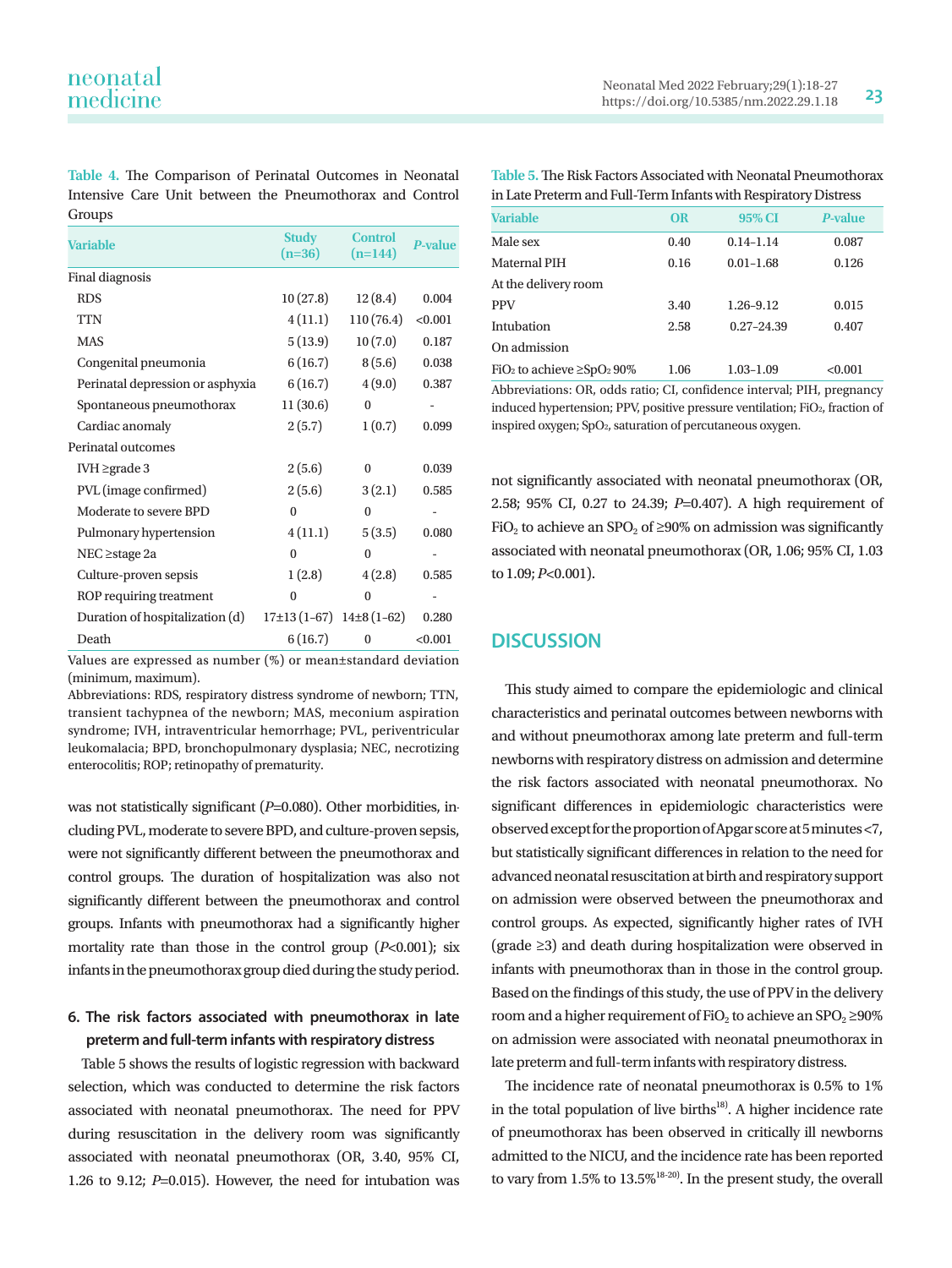**Table 4.** The Comparison of Perinatal Outcomes in Neonatal Intensive Care Unit between the Pneumothorax and Control Groups

| <b>Variable</b>                  | <b>Study</b><br>$(n=36)$       | <b>Control</b><br>$(n=144)$ | <b>P-value</b> |
|----------------------------------|--------------------------------|-----------------------------|----------------|
| Final diagnosis                  |                                |                             |                |
| <b>RDS</b>                       | 10(27.8)                       | 12(8.4)                     | 0.004          |
| <b>TTN</b>                       | 4(11.1)                        | 110(76.4)                   | < 0.001        |
| <b>MAS</b>                       | 5(13.9)                        | 10(7.0)                     | 0.187          |
| Congenital pneumonia             | 6(16.7)                        | 8(5.6)                      | 0.038          |
| Perinatal depression or asphyxia | 6(16.7)                        | 4(9.0)                      | 0.387          |
| Spontaneous pneumothorax         | 11(30.6)                       | $\Omega$                    |                |
| Cardiac anomaly                  | 2(5.7)                         | 1(0.7)                      | 0.099          |
| Perinatal outcomes               |                                |                             |                |
| IVH $\geq$ grade 3               | 2(5.6)                         | $\mathbf{0}$                | 0.039          |
| PVL (image confirmed)            | 2(5.6)                         | 3(2.1)                      | 0.585          |
| Moderate to severe BPD           | $\Omega$                       | $\Omega$                    |                |
| Pulmonary hypertension           | 4(11.1)                        | 5(3.5)                      | 0.080          |
| $NEC \geq stage 2a$              | $\mathbf{0}$                   | $\Omega$                    |                |
| Culture-proven sepsis            | 1(2.8)                         | 4(2.8)                      | 0.585          |
| ROP requiring treatment          | $\mathbf{0}$                   | $\Omega$                    |                |
| Duration of hospitalization (d)  | $17\pm13(1-67)$ $14\pm8(1-62)$ |                             | 0.280          |
| Death                            | 6(16.7)                        | $\mathbf{0}$                | < 0.001        |

Values are expressed as number (%) or mean±standard deviation (minimum, maximum).

Abbreviations: RDS, respiratory distress syndrome of newborn; TTN, transient tachypnea of the newborn; MAS, meconium aspiration syndrome; IVH, intraventricular hemorrhage; PVL, periventricular leukomalacia; BPD, bronchopulmonary dysplasia; NEC, necrotizing enterocolitis; ROP; retinopathy of prematurity.

was not statistically significant (*P*=0.080). Other morbidities, including PVL, moderate to severe BPD, and culture-proven sepsis, were not significantly different between the pneumothorax and control groups. The duration of hospitalization was also not significantly different between the pneumothorax and control groups. Infants with pneumothorax had a significantly higher mortality rate than those in the control group (*P*<0.001); six infants in the pneumothorax group died during the study period.

### **6. The risk factors associated with pneumothorax in late preterm and full-term infants with respiratory distress**

Table 5 shows the results of logistic regression with backward selection, which was conducted to determine the risk factors associated with neonatal pneumothorax. The need for PPV during resuscitation in the delivery room was significantly associated with neonatal pneumothorax (OR, 3.40, 95% CI, 1.26 to 9.12; *P*=0.015). However, the need for intubation was

**Table 5.** The Risk Factors Associated with Neonatal Pneumothorax in Late Preterm and Full-Term Infants with Respiratory Distress

| <b>Variable</b>                                         | <b>OR</b> | 95% CI         | P-value |
|---------------------------------------------------------|-----------|----------------|---------|
| Male sex                                                | 0.40      | $0.14 - 1.14$  | 0.087   |
| <b>Maternal PIH</b>                                     | 0.16      | $0.01 - 1.68$  | 0.126   |
| At the delivery room                                    |           |                |         |
| <b>PPV</b>                                              | 3.40      | 1.26-9.12      | 0.015   |
| Intubation                                              | 2.58      | $0.27 - 24.39$ | 0.407   |
| On admission                                            |           |                |         |
| FiO <sub>2</sub> to achieve $\geq$ SpO <sub>2</sub> 90% | 1.06      | $1.03 - 1.09$  | < 0.001 |

Abbreviations: OR, odds ratio; CI, confidence interval; PIH, pregnancy induced hypertension; PPV, positive pressure ventilation; FiO<sub>2</sub>, fraction of inspired oxygen; SpO2, saturation of percutaneous oxygen.

not significantly associated with neonatal pneumothorax (OR, 2.58; 95% CI, 0.27 to 24.39; *P*=0.407). A high requirement of FiO<sub>2</sub> to achieve an SPO<sub>2</sub> of  $\geq$ 90% on admission was significantly associated with neonatal pneumothorax (OR, 1.06; 95% CI, 1.03 to 1.09; *P*<0.001).

## **DISCUSSION**

This study aimed to compare the epidemiologic and clinical characteristics and perinatal outcomes between newborns with and without pneumothorax among late preterm and full-term newborns with respiratory distress on admission and determine the risk factors associated with neonatal pneumothorax. No significant differences in epidemiologic characteristics were observed except for the proportion of Apgar score at 5 minutes <7, but statistically significant differences in relation to the need for advanced neonatal resuscitation at birth and respiratory support on admission were observed between the pneumothorax and control groups. As expected, significantly higher rates of IVH (grade ≥3) and death during hospitalization were observed in infants with pneumothorax than in those in the control group. Based on the findings of this study, the use of PPV in the delivery room and a higher requirement of FiO<sub>2</sub> to achieve an SPO<sub>2</sub> ≥90% on admission were associated with neonatal pneumothorax in late preterm and full-term infants with respiratory distress.

The incidence rate of neonatal pneumothorax is 0.5% to 1% in the total population of live births $18$ <sup>18</sup>. A higher incidence rate of pneumothorax has been observed in critically ill newborns admitted to the NICU, and the incidence rate has been reported to vary from 1.5% to 13.5%<sup>18-20)</sup>. In the present study, the overall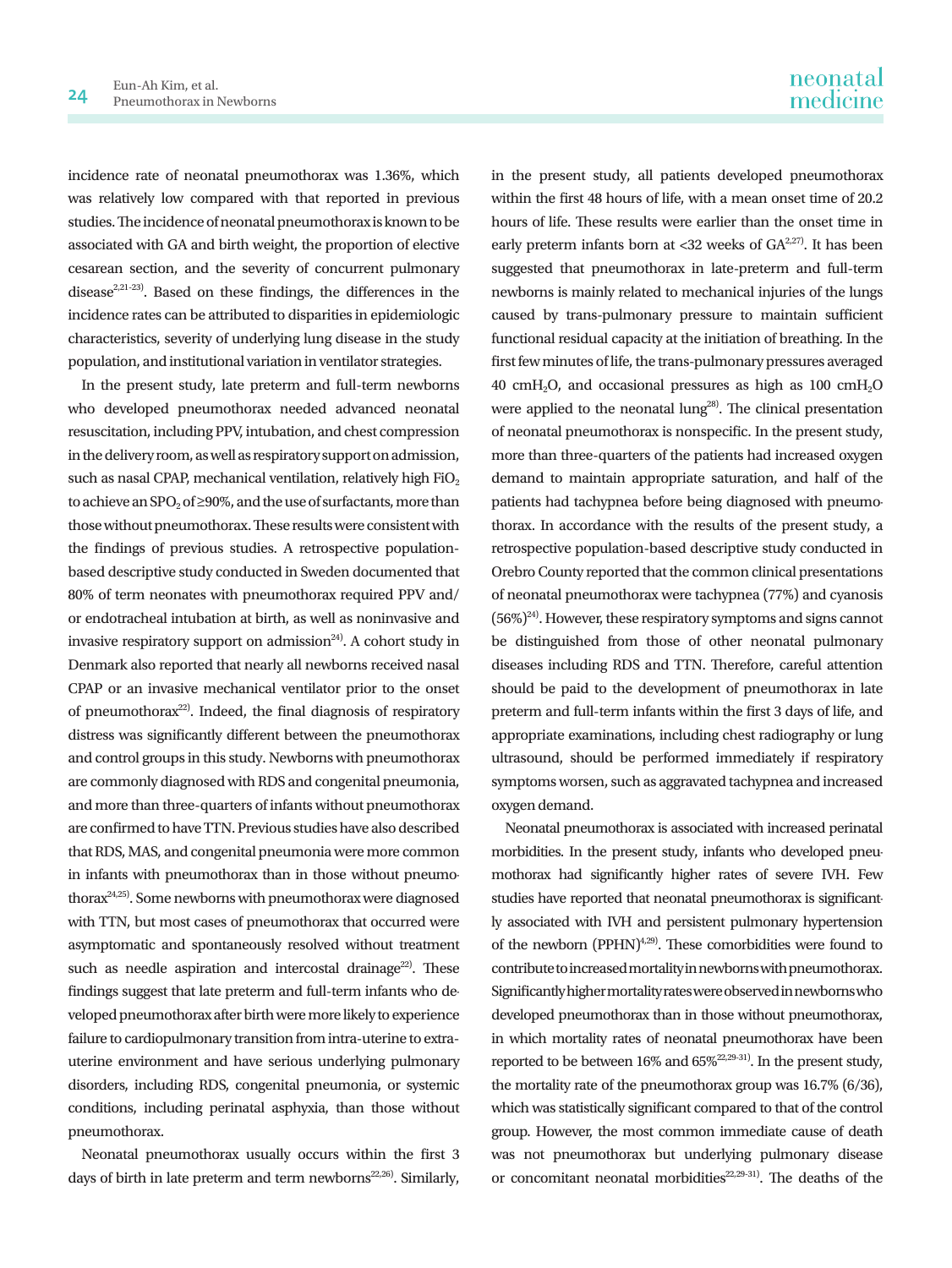incidence rate of neonatal pneumothorax was 1.36%, which was relatively low compared with that reported in previous studies. The incidence of neonatal pneumothorax is known to be associated with GA and birth weight, the proportion of elective cesarean section, and the severity of concurrent pulmonary disease<sup>2,21-23</sup>). Based on these findings, the differences in the incidence rates can be attributed to disparities in epidemiologic characteristics, severity of underlying lung disease in the study population, and institutional variation in ventilator strategies.

In the present study, late preterm and full-term newborns who developed pneumothorax needed advanced neonatal resuscitation, including PPV, intubation, and chest compression in the delivery room, as well as respiratory support on admission, such as nasal CPAP, mechanical ventilation, relatively high  $FiO<sub>2</sub>$ to achieve an SPO<sub>2</sub> of  $\geq$ 90%, and the use of surfactants, more than those without pneumothorax. These results were consistent with the findings of previous studies. A retrospective populationbased descriptive study conducted in Sweden documented that 80% of term neonates with pneumothorax required PPV and/ or endotracheal intubation at birth, as well as noninvasive and invasive respiratory support on admission<sup>24)</sup>. A cohort study in Denmark also reported that nearly all newborns received nasal CPAP or an invasive mechanical ventilator prior to the onset of pneumothorax $22$ ). Indeed, the final diagnosis of respiratory distress was significantly different between the pneumothorax and control groups in this study. Newborns with pneumothorax are commonly diagnosed with RDS and congenital pneumonia, and more than three-quarters of infants without pneumothorax are confirmed to have TTN. Previous studies have also described that RDS, MAS, and congenital pneumonia were more common in infants with pneumothorax than in those without pneumothorax24,25). Some newborns with pneumothorax were diagnosed with TTN, but most cases of pneumothorax that occurred were asymptomatic and spontaneously resolved without treatment such as needle aspiration and intercostal drainage<sup>22)</sup>. These findings suggest that late preterm and full-term infants who developed pneumothorax after birth were more likely to experience failure to cardiopulmonary transition from intra-uterine to extrauterine environment and have serious underlying pulmonary disorders, including RDS, congenital pneumonia, or systemic conditions, including perinatal asphyxia, than those without pneumothorax.

Neonatal pneumothorax usually occurs within the first 3 days of birth in late preterm and term newborns<sup>22,26)</sup>. Similarly,

in the present study, all patients developed pneumothorax within the first 48 hours of life, with a mean onset time of 20.2 hours of life. These results were earlier than the onset time in early preterm infants born at <32 weeks of  $GA^{2,27}$ . It has been suggested that pneumothorax in late-preterm and full-term newborns is mainly related to mechanical injuries of the lungs caused by trans-pulmonary pressure to maintain sufficient functional residual capacity at the initiation of breathing. In the first few minutes of life, the trans-pulmonary pressures averaged 40 cmH2O, and occasional pressures as high as 100 cmH2O were applied to the neonatal  $\text{lung}^{28}$ . The clinical presentation of neonatal pneumothorax is nonspecific. In the present study, more than three-quarters of the patients had increased oxygen demand to maintain appropriate saturation, and half of the patients had tachypnea before being diagnosed with pneumothorax. In accordance with the results of the present study, a retrospective population-based descriptive study conducted in Orebro County reported that the common clinical presentations of neonatal pneumothorax were tachypnea (77%) and cyanosis  $(56\%)^{24}$ . However, these respiratory symptoms and signs cannot be distinguished from those of other neonatal pulmonary diseases including RDS and TTN. Therefore, careful attention should be paid to the development of pneumothorax in late preterm and full-term infants within the first 3 days of life, and appropriate examinations, including chest radiography or lung ultrasound, should be performed immediately if respiratory symptoms worsen, such as aggravated tachypnea and increased oxygen demand.

Neonatal pneumothorax is associated with increased perinatal morbidities. In the present study, infants who developed pneumothorax had significantly higher rates of severe IVH. Few studies have reported that neonatal pneumothorax is significantly associated with IVH and persistent pulmonary hypertension of the newborn (PPHN)<sup>4,29)</sup>. These comorbidities were found to contribute to increased mortality in newborns with pneumothorax. Significantly higher mortality rates were observed in newborns who developed pneumothorax than in those without pneumothorax, in which mortality rates of neonatal pneumothorax have been reported to be between 16% and 65%<sup>22,29-31)</sup>. In the present study, the mortality rate of the pneumothorax group was 16.7% (6/36), which was statistically significant compared to that of the control group. However, the most common immediate cause of death was not pneumothorax but underlying pulmonary disease or concomitant neonatal morbidities<sup>22,29-31</sup>). The deaths of the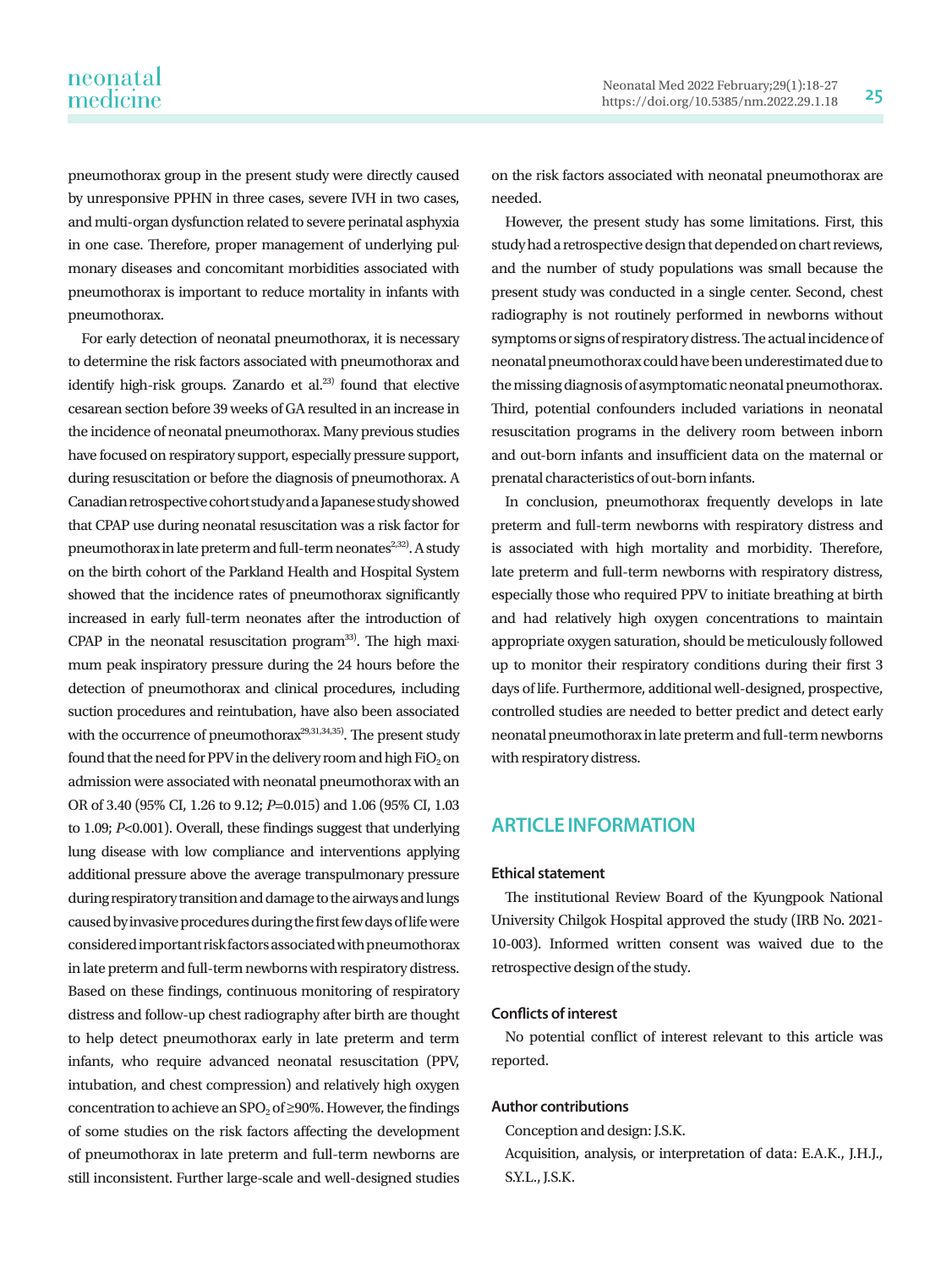pneumothorax group in the present study were directly caused by unresponsive PPHN in three cases, severe IVH in two cases, and multi-organ dysfunction related to severe perinatal asphyxia in one case. Therefore, proper management of underlying pulmonary diseases and concomitant morbidities associated with pneumothorax is important to reduce mortality in infants with pneumothorax.

For early detection of neonatal pneumothorax, it is necessary to determine the risk factors associated with pneumothorax and identify high-risk groups. Zanardo et al. $23)$  found that elective cesarean section before 39 weeks of GA resulted in an increase in the incidence of neonatal pneumothorax. Many previous studies have focused on respiratory support, especially pressure support, during resuscitation or before the diagnosis of pneumothorax. A Canadian retrospective cohort study and a Japanese study showed that CPAP use during neonatal resuscitation was a risk factor for pneumothorax in late preterm and full-term neonates<sup>2,32)</sup>. A study on the birth cohort of the Parkland Health and Hospital System showed that the incidence rates of pneumothorax significantly increased in early full-term neonates after the introduction of CPAP in the neonatal resuscitation program $^{33}$ . The high maximum peak inspiratory pressure during the 24 hours before the detection of pneumothorax and clinical procedures, including suction procedures and reintubation, have also been associated with the occurrence of pneumothorax<sup>29,31,34,35</sup>). The present study found that the need for PPV in the delivery room and high  $FiO<sub>2</sub>$  on admission were associated with neonatal pneumothorax with an OR of 3.40 (95% CI, 1.26 to 9.12; *P*=0.015) and 1.06 (95% CI, 1.03 to 1.09; *P*<0.001). Overall, these findings suggest that underlying lung disease with low compliance and interventions applying additional pressure above the average transpulmonary pressure during respiratory transition and damage to the airways and lungs caused by invasive procedures during the first few days of life were considered important risk factors associated with pneumothorax in late preterm and full-term newborns with respiratory distress. Based on these findings, continuous monitoring of respiratory distress and follow-up chest radiography after birth are thought to help detect pneumothorax early in late preterm and term infants, who require advanced neonatal resuscitation (PPV, intubation, and chest compression) and relatively high oxygen concentration to achieve an SPO<sub>2</sub> of  $\geq$ 90%. However, the findings of some studies on the risk factors affecting the development of pneumothorax in late preterm and full-term newborns are still inconsistent. Further large-scale and well-designed studies

on the risk factors associated with neonatal pneumothorax are needed.

However, the present study has some limitations. First, this study had a retrospective design that depended on chart reviews, and the number of study populations was small because the present study was conducted in a single center. Second, chest radiography is not routinely performed in newborns without symptoms or signs of respiratory distress. The actual incidence of neonatal pneumothorax could have been underestimated due to the missing diagnosis of asymptomatic neonatal pneumothorax. Third, potential confounders included variations in neonatal resuscitation programs in the delivery room between inborn and out-born infants and insufficient data on the maternal or prenatal characteristics of out-born infants.

In conclusion, pneumothorax frequently develops in late preterm and full-term newborns with respiratory distress and is associated with high mortality and morbidity. Therefore, late preterm and full-term newborns with respiratory distress, especially those who required PPV to initiate breathing at birth and had relatively high oxygen concentrations to maintain appropriate oxygen saturation, should be meticulously followed up to monitor their respiratory conditions during their first 3 days of life. Furthermore, additional well-designed, prospective, controlled studies are needed to better predict and detect early neonatal pneumothorax in late preterm and full-term newborns with respiratory distress.

### **ARTICLE INFORMATION**

#### **Ethical statement**

The institutional Review Board of the Kyungpook National University Chilgok Hospital approved the study (IRB No. 2021- 10-003). Informed written consent was waived due to the retrospective design of the study.

#### **Conflicts of interest**

No potential conflict of interest relevant to this article was reported.

#### **Author contributions**

Conception and design: J.S.K.

Acquisition, analysis, or interpretation of data: E.A.K., J.H.J., S.Y.L., J.S.K.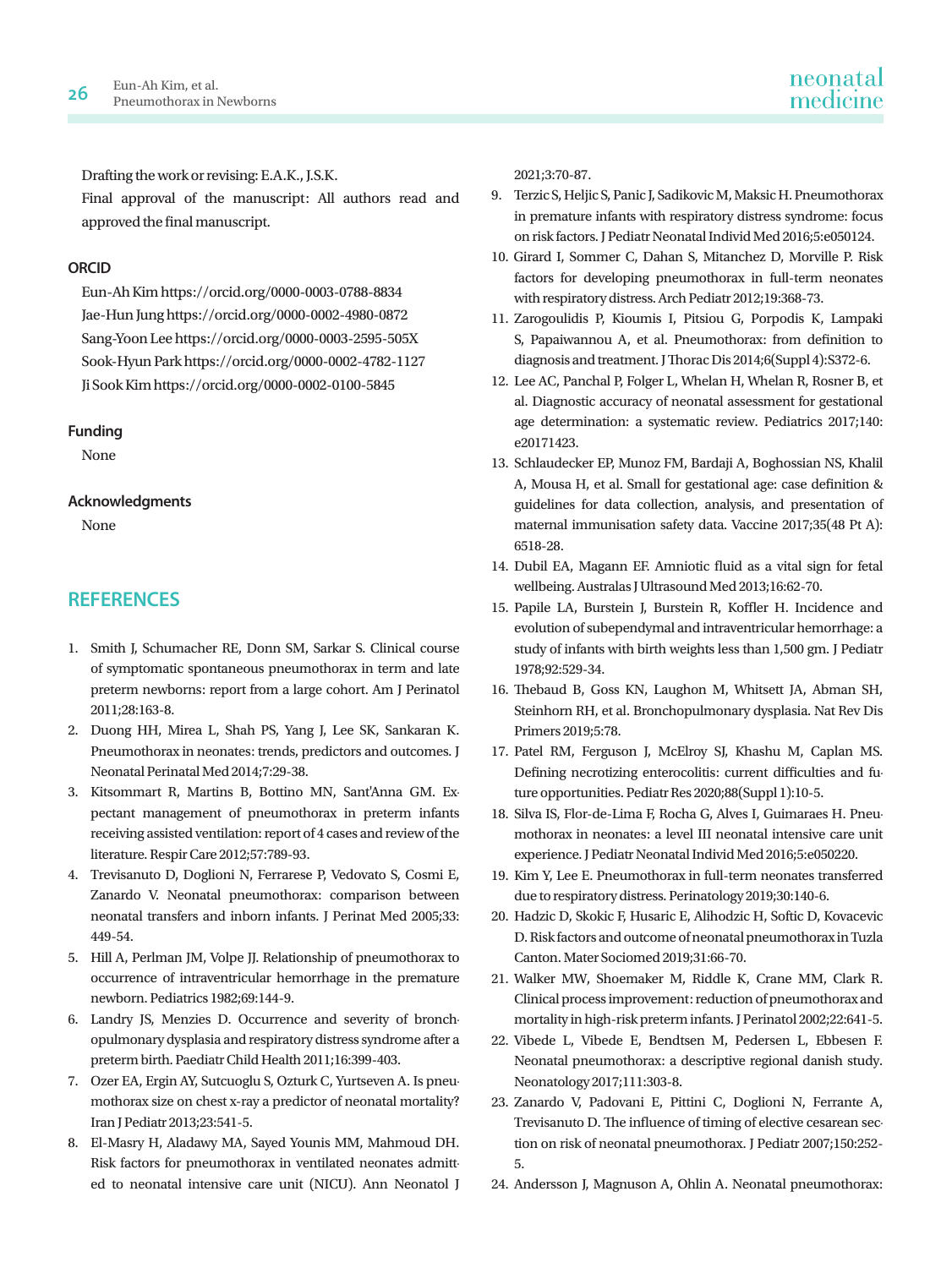Drafting the work or revising: E.A.K., J.S.K.

Final approval of the manuscript: All authors read and approved the final manuscript.

#### **ORCID**

Eun-Ah Kim https://orcid.org/0000-0003-0788-8834 Jae-Hun Jung https://orcid.org/0000-0002-4980-0872 Sang-Yoon Lee https://orcid.org/0000-0003-2595-505X Sook-Hyun Park https://orcid.org/0000-0002-4782-1127 Ji Sook Kim https://orcid.org/0000-0002-0100-5845

#### **Funding**

None

#### **Acknowledgments**

None

## **REFERENCES**

- 1. Smith J, Schumacher RE, Donn SM, Sarkar S. Clinical course of symptomatic spontaneous pneumothorax in term and late preterm newborns: report from a large cohort. Am J Perinatol 2011;28:163-8.
- 2. Duong HH, Mirea L, Shah PS, Yang J, Lee SK, Sankaran K. Pneumothorax in neonates: trends, predictors and outcomes. J Neonatal Perinatal Med 2014;7:29-38.
- 3. Kitsommart R, Martins B, Bottino MN, Sant'Anna GM. Expectant management of pneumothorax in preterm infants receiving assisted ventilation: report of 4 cases and review of the literature. Respir Care 2012;57:789-93.
- 4. Trevisanuto D, Doglioni N, Ferrarese P, Vedovato S, Cosmi E, Zanardo V. Neonatal pneumothorax: comparison between neonatal transfers and inborn infants. J Perinat Med 2005;33: 449-54.
- 5. Hill A, Perlman JM, Volpe JJ. Relationship of pneumothorax to occurrence of intraventricular hemorrhage in the premature newborn. Pediatrics 1982;69:144-9.
- 6. Landry JS, Menzies D. Occurrence and severity of bronchopulmonary dysplasia and respiratory distress syndrome after a preterm birth. Paediatr Child Health 2011;16:399-403.
- 7. Ozer EA, Ergin AY, Sutcuoglu S, Ozturk C, Yurtseven A. Is pneumothorax size on chest x-ray a predictor of neonatal mortality? Iran J Pediatr 2013;23:541-5.
- 8. El-Masry H, Aladawy MA, Sayed Younis MM, Mahmoud DH. Risk factors for pneumothorax in ventilated neonates admitted to neonatal intensive care unit (NICU). Ann Neonatol J

2021;3:70-87.

- 9. Terzic S, Heljic S, Panic J, Sadikovic M, Maksic H. Pneumothorax in premature infants with respiratory distress syndrome: focus on risk factors. J Pediatr Neonatal Individ Med 2016;5:e050124.
- 10. Girard I, Sommer C, Dahan S, Mitanchez D, Morville P. Risk factors for developing pneumothorax in full-term neonates with respiratory distress. Arch Pediatr 2012;19:368-73.
- 11. Zarogoulidis P, Kioumis I, Pitsiou G, Porpodis K, Lampaki S, Papaiwannou A, et al. Pneumothorax: from definition to diagnosis and treatment. J Thorac Dis 2014;6(Suppl 4):S372-6.
- 12. Lee AC, Panchal P, Folger L, Whelan H, Whelan R, Rosner B, et al. Diagnostic accuracy of neonatal assessment for gestational age determination: a systematic review. Pediatrics 2017;140: e20171423.
- 13. Schlaudecker EP, Munoz FM, Bardaji A, Boghossian NS, Khalil A, Mousa H, et al. Small for gestational age: case definition & guidelines for data collection, analysis, and presentation of maternal immunisation safety data. Vaccine 2017;35(48 Pt A): 6518-28.
- 14. Dubil EA, Magann EF. Amniotic fluid as a vital sign for fetal wellbeing. Australas J Ultrasound Med 2013;16:62-70.
- 15. Papile LA, Burstein J, Burstein R, Koffler H. Incidence and evolution of subependymal and intraventricular hemorrhage: a study of infants with birth weights less than 1,500 gm. J Pediatr 1978;92:529-34.
- 16. Thebaud B, Goss KN, Laughon M, Whitsett JA, Abman SH, Steinhorn RH, et al. Bronchopulmonary dysplasia. Nat Rev Dis Primers 2019;5:78.
- 17. Patel RM, Ferguson J, McElroy SJ, Khashu M, Caplan MS. Defining necrotizing enterocolitis: current difficulties and future opportunities. Pediatr Res 2020;88(Suppl 1):10-5.
- 18. Silva IS, Flor-de-Lima F, Rocha G, Alves I, Guimaraes H. Pneumothorax in neonates: a level III neonatal intensive care unit experience. J Pediatr Neonatal Individ Med 2016;5:e050220.
- 19. Kim Y, Lee E. Pneumothorax in full-term neonates transferred due to respiratory distress. Perinatology 2019;30:140-6.
- 20. Hadzic D, Skokic F, Husaric E, Alihodzic H, Softic D, Kovacevic D. Risk factors and outcome of neonatal pneumothorax in Tuzla Canton. Mater Sociomed 2019;31:66-70.
- 21. Walker MW, Shoemaker M, Riddle K, Crane MM, Clark R. Clinical process improvement: reduction of pneumothorax and mortality in high-risk preterm infants. J Perinatol 2002;22:641-5.
- 22. Vibede L, Vibede E, Bendtsen M, Pedersen L, Ebbesen F. Neonatal pneumothorax: a descriptive regional danish study. Neonatology 2017;111:303-8.
- 23. Zanardo V, Padovani E, Pittini C, Doglioni N, Ferrante A, Trevisanuto D. The influence of timing of elective cesarean section on risk of neonatal pneumothorax. J Pediatr 2007;150:252- 5.
- 24. Andersson J, Magnuson A, Ohlin A. Neonatal pneumothorax: